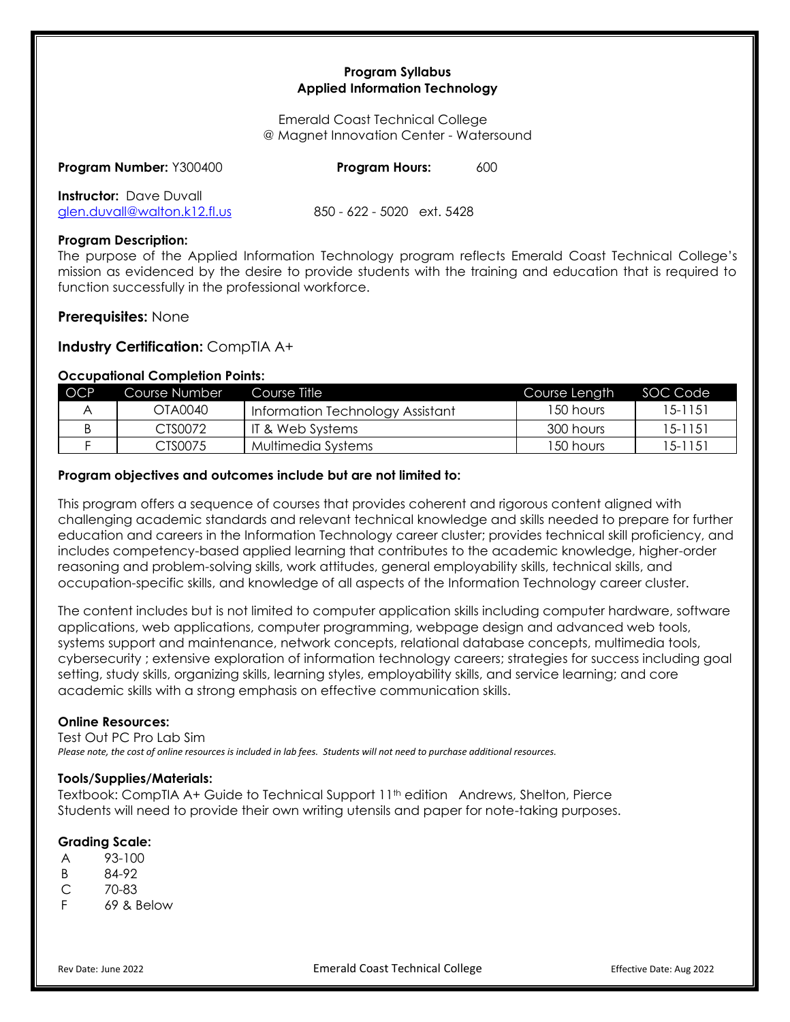## **Program Syllabus Applied Information Technology**

Emerald Coast Technical College @ Magnet Innovation Center - Watersound

| Program Number: Y300400        | <b>Program Hours:</b>      |  |
|--------------------------------|----------------------------|--|
| <b>Instructor:</b> Dave Duvall |                            |  |
| glen.duvall@walton.k12.fl.us   | 850 - 622 - 5020 ext. 5428 |  |

### **Program Description:**

The purpose of the Applied Information Technology program reflects Emerald Coast Technical College's mission as evidenced by the desire to provide students with the training and education that is required to function successfully in the professional workforce.

# **Prerequisites:** None

**Industry Certification:** CompTIA A+

# **Occupational Completion Points:**

| <b>OCP</b> | Course Number | Course Title                     | Course Length | SOC Code |
|------------|---------------|----------------------------------|---------------|----------|
|            | OTA0040       | Information Technology Assistant | 150 hours     | 15-1151  |
|            | CTS0072       | IT & Web Systems                 | 300 hours     | 15-1151  |
|            | CTS0075       | Multimedia Systems               | 150 hours     | 15-1151  |

## **Program objectives and outcomes include but are not limited to:**

This program offers a sequence of courses that provides coherent and rigorous content aligned with challenging academic standards and relevant technical knowledge and skills needed to prepare for further education and careers in the Information Technology career cluster; provides technical skill proficiency, and includes competency-based applied learning that contributes to the academic knowledge, higher-order reasoning and problem-solving skills, work attitudes, general employability skills, technical skills, and occupation-specific skills, and knowledge of all aspects of the Information Technology career cluster.

The content includes but is not limited to computer application skills including computer hardware, software applications, web applications, computer programming, webpage design and advanced web tools, systems support and maintenance, network concepts, relational database concepts, multimedia tools, cybersecurity ; extensive exploration of information technology careers; strategies for success including goal setting, study skills, organizing skills, learning styles, employability skills, and service learning; and core academic skills with a strong emphasis on effective communication skills.

### **Online Resources:**

Test Out PC Pro Lab Sim *Please note, the cost of online resources is included in lab fees. Students will not need to purchase additional resources.*

# **Tools/Supplies/Materials:**

Textbook: CompTIA A+ Guide to Technical Support 11<sup>th</sup> edition Andrews, Shelton, Pierce Students will need to provide their own writing utensils and paper for note-taking purposes.

### **Grading Scale:**

- A 93-100
- B 84-92
- C 70-83
- F 69 & Below

Rev Date: June 2022 **Emerald Coast Technical College** Effective Date: Aug 2022